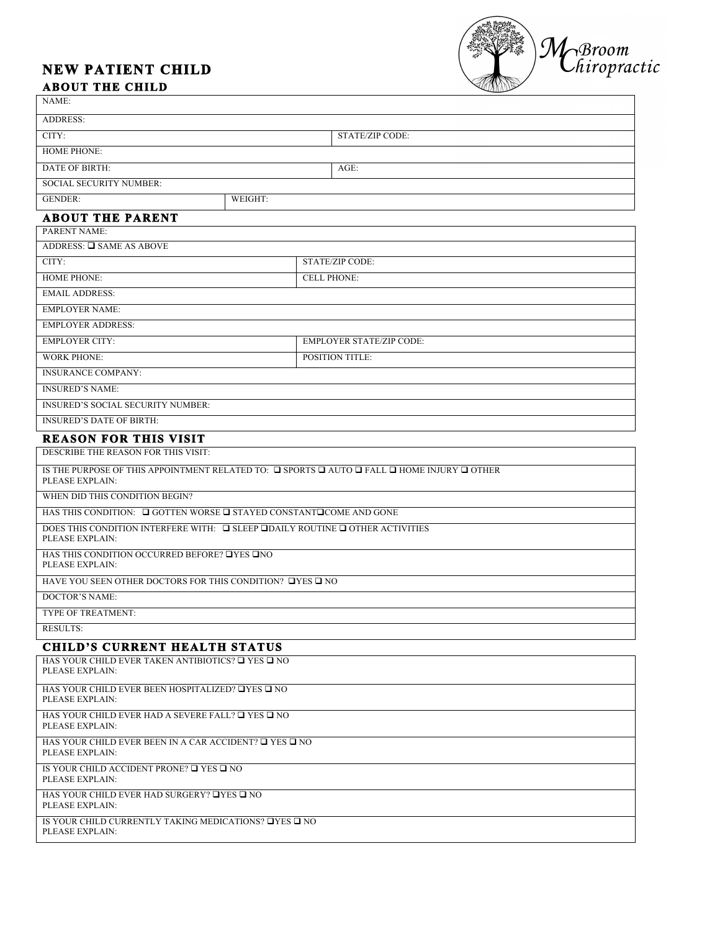# **NEW PATIENT CHILD**



## **ABOUT THE CHILD**

| NAME:                                                                                                                                   |                        |  |
|-----------------------------------------------------------------------------------------------------------------------------------------|------------------------|--|
| <b>ADDRESS:</b>                                                                                                                         |                        |  |
| CITY:                                                                                                                                   | <b>STATE/ZIP CODE:</b> |  |
| <b>HOME PHONE:</b>                                                                                                                      |                        |  |
| <b>DATE OF BIRTH:</b>                                                                                                                   | $AGE$ :                |  |
| <b>SOCIAL SECURITY NUMBER:</b>                                                                                                          |                        |  |
| <b>GENDER:</b><br>WEIGHT:                                                                                                               |                        |  |
| <b>ABOUT THE PARENT</b>                                                                                                                 |                        |  |
| PARENT NAME:                                                                                                                            |                        |  |
| ADDRESS: □ SAME AS ABOVE                                                                                                                |                        |  |
| CITY:                                                                                                                                   | STATE/ZIP CODE:        |  |
| <b>HOME PHONE:</b>                                                                                                                      | <b>CELL PHONE:</b>     |  |
| <b>EMAIL ADDRESS:</b>                                                                                                                   |                        |  |
| <b>EMPLOYER NAME:</b>                                                                                                                   |                        |  |
| <b>EMPLOYER ADDRESS:</b>                                                                                                                |                        |  |
| <b>EMPLOYER CITY:</b><br><b>EMPLOYER STATE/ZIP CODE:</b>                                                                                |                        |  |
| <b>WORK PHONE:</b>                                                                                                                      | <b>POSITION TITLE:</b> |  |
| <b>INSURANCE COMPANY:</b>                                                                                                               |                        |  |
| <b>INSURED'S NAME:</b>                                                                                                                  |                        |  |
| <b>INSURED'S SOCIAL SECURITY NUMBER:</b>                                                                                                |                        |  |
| <b>INSURED'S DATE OF BIRTH:</b>                                                                                                         |                        |  |
| <b>REASON FOR THIS VISIT</b>                                                                                                            |                        |  |
| DESCRIBE THE REASON FOR THIS VISIT:                                                                                                     |                        |  |
| IS THE PURPOSE OF THIS APPOINTMENT RELATED TO: $\Box$ SPORTS $\Box$ AUTO $\Box$ FALL $\Box$ HOME INJURY $\Box$ OTHER<br>PLEASE EXPLAIN: |                        |  |
| WHEN DID THIS CONDITION BEGIN?                                                                                                          |                        |  |
| HAS THIS CONDITION: $\Box$ GOTTEN WORSE $\Box$ STAYED CONSTANT $\Box$ COME AND GONE                                                     |                        |  |
| DOES THIS CONDITION INTERFERE WITH: $\Box$ SLEEP $\Box$ DAILY ROUTINE $\Box$ OTHER ACTIVITIES<br>PLEASE EXPLAIN:                        |                        |  |
| HAS THIS CONDITION OCCURRED BEFORE? TYES THO<br>PLEASE EXPLAIN:                                                                         |                        |  |
| HAVE YOU SEEN OTHER DOCTORS FOR THIS CONDITION? TYES TO                                                                                 |                        |  |
| <b>DOCTOR'S NAME:</b>                                                                                                                   |                        |  |
| TYPE OF TREATMENT:                                                                                                                      |                        |  |
| <b>RESULTS:</b>                                                                                                                         |                        |  |
| <b>CHILD'S CURRENT HEALTH STATUS</b>                                                                                                    |                        |  |
| HAS YOUR CHILD EVER TAKEN ANTIBIOTICS? $\square$ YES $\square$ NO<br>PLEASE EXPLAIN:                                                    |                        |  |
| HAS YOUR CHILD EVER BEEN HOSPITALIZED? TYES TO NO<br>PLEASE EXPLAIN:                                                                    |                        |  |
| HAS YOUR CHILD EVER HAD A SEVERE FALL? $\Box$ YES $\Box$ NO<br>PLEASE EXPLAIN:                                                          |                        |  |
| HAS YOUR CHILD EVER BEEN IN A CAR ACCIDENT? $\square$ YES $\square$ NO<br>PLEASE EXPLAIN:                                               |                        |  |
| IS YOUR CHILD ACCIDENT PRONE? $\Box$ YES $\Box$ NO<br>PLEASE EXPLAIN:                                                                   |                        |  |
| HAS YOUR CHILD EVER HAD SURGERY? □YES □ NO<br>PLEASE EXPLAIN:                                                                           |                        |  |
| IS YOUR CHILD CURRENTLY TAKING MEDICATIONS? TYES TO NO<br>PLEASE EXPLAIN:                                                               |                        |  |
|                                                                                                                                         |                        |  |